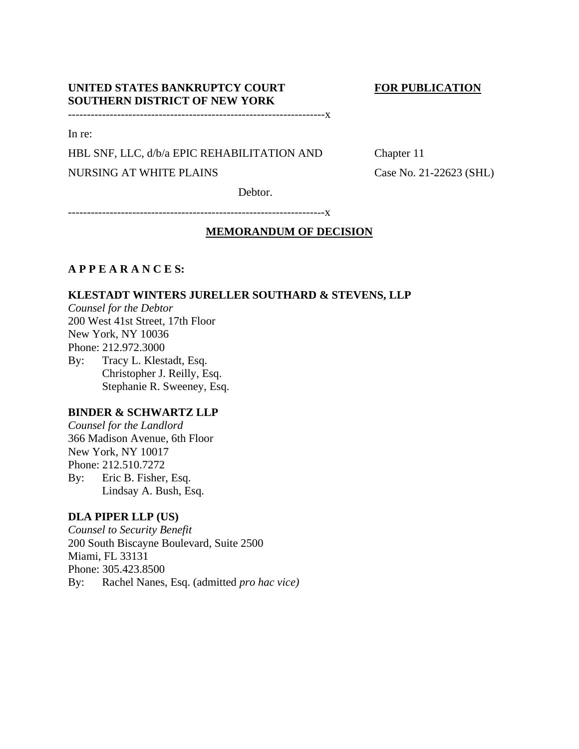# **UNITED STATES BANKRUPTCY COURT FOR PUBLICATION SOUTHERN DISTRICT OF NEW YORK**

--------------------------------------------------------------------x

In re:

HBL SNF, LLC, d/b/a EPIC REHABILITATION AND Chapter 11

NURSING AT WHITE PLAINS Case No. 21-22623 (SHL)

Debtor.

--------------------------------------------------------------------x

# **MEMORANDUM OF DECISION**

## **A P P E A R A N C E S:**

## **KLESTADT WINTERS JURELLER SOUTHARD & STEVENS, LLP**

*Counsel for the Debtor* 200 West 41st Street, 17th Floor New York, NY 10036 Phone: 212.972.3000 By: Tracy L. Klestadt, Esq. Christopher J. Reilly, Esq. Stephanie R. Sweeney, Esq.

# **BINDER & SCHWARTZ LLP**

*Counsel for the Landlord*  366 Madison Avenue, 6th Floor New York, NY 10017 Phone: 212.510.7272 By: Eric B. Fisher, Esq. Lindsay A. Bush, Esq.

## **DLA PIPER LLP (US)**

*Counsel to Security Benefit*  200 South Biscayne Boulevard, Suite 2500 Miami, FL 33131 Phone: 305.423.8500 By: Rachel Nanes, Esq. (admitted *pro hac vice)*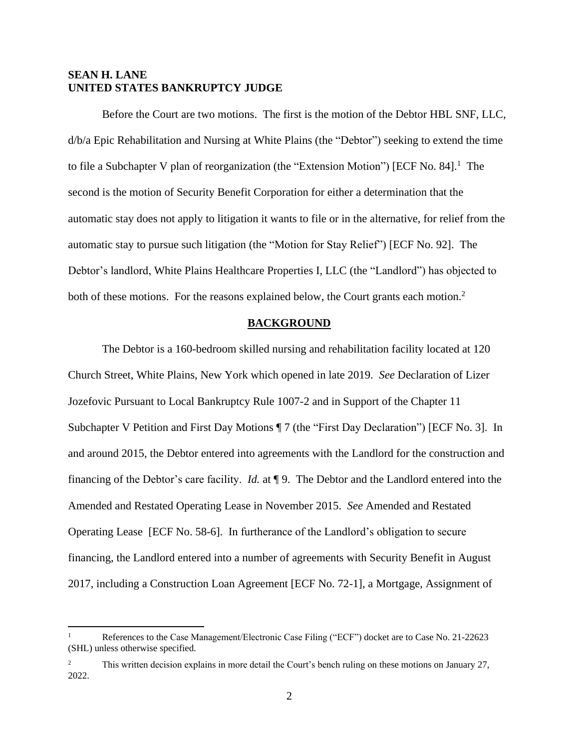# **SEAN H. LANE UNITED STATES BANKRUPTCY JUDGE**

Before the Court are two motions. The first is the motion of the Debtor HBL SNF, LLC, d/b/a Epic Rehabilitation and Nursing at White Plains (the "Debtor") seeking to extend the time to file a Subchapter V plan of reorganization (the "Extension Motion") [ECF No. 84].<sup>1</sup> The second is the motion of Security Benefit Corporation for either a determination that the automatic stay does not apply to litigation it wants to file or in the alternative, for relief from the automatic stay to pursue such litigation (the "Motion for Stay Relief") [ECF No. 92]. The Debtor's landlord, White Plains Healthcare Properties I, LLC (the "Landlord") has objected to both of these motions. For the reasons explained below, the Court grants each motion.<sup>2</sup>

### **BACKGROUND**

The Debtor is a 160-bedroom skilled nursing and rehabilitation facility located at 120 Church Street, White Plains, New York which opened in late 2019. *See* Declaration of Lizer Jozefovic Pursuant to Local Bankruptcy Rule 1007-2 and in Support of the Chapter 11 Subchapter V Petition and First Day Motions ¶ 7 (the "First Day Declaration") [ECF No. 3]. In and around 2015, the Debtor entered into agreements with the Landlord for the construction and financing of the Debtor's care facility. *Id.* at ¶ 9. The Debtor and the Landlord entered into the Amended and Restated Operating Lease in November 2015. *See* Amended and Restated Operating Lease [ECF No. 58-6]. In furtherance of the Landlord's obligation to secure financing, the Landlord entered into a number of agreements with Security Benefit in August 2017, including a Construction Loan Agreement [ECF No. 72-1], a Mortgage, Assignment of

References to the Case Management/Electronic Case Filing ("ECF") docket are to Case No. 21-22623 (SHL) unless otherwise specified.

<sup>&</sup>lt;sup>2</sup> This written decision explains in more detail the Court's bench ruling on these motions on January 27, 2022.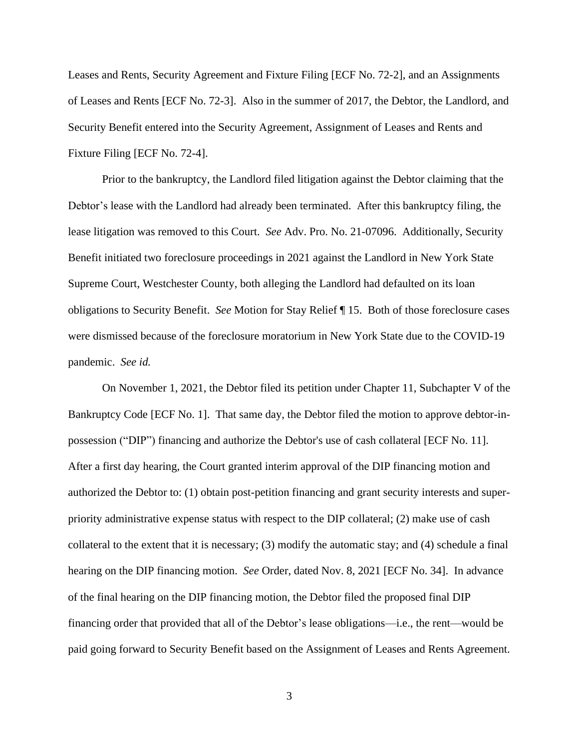Leases and Rents, Security Agreement and Fixture Filing [ECF No. 72-2], and an Assignments of Leases and Rents [ECF No. 72-3]. Also in the summer of 2017, the Debtor, the Landlord, and Security Benefit entered into the Security Agreement, Assignment of Leases and Rents and Fixture Filing [ECF No. 72-4].

Prior to the bankruptcy, the Landlord filed litigation against the Debtor claiming that the Debtor's lease with the Landlord had already been terminated. After this bankruptcy filing, the lease litigation was removed to this Court. *See* Adv. Pro. No. 21-07096. Additionally, Security Benefit initiated two foreclosure proceedings in 2021 against the Landlord in New York State Supreme Court, Westchester County, both alleging the Landlord had defaulted on its loan obligations to Security Benefit. *See* Motion for Stay Relief ¶ 15. Both of those foreclosure cases were dismissed because of the foreclosure moratorium in New York State due to the COVID-19 pandemic. *See id.*

On November 1, 2021, the Debtor filed its petition under Chapter 11, Subchapter V of the Bankruptcy Code [ECF No. 1]. That same day, the Debtor filed the motion to approve debtor-inpossession ("DIP") financing and authorize the Debtor's use of cash collateral [ECF No. 11]. After a first day hearing, the Court granted interim approval of the DIP financing motion and authorized the Debtor to: (1) obtain post-petition financing and grant security interests and superpriority administrative expense status with respect to the DIP collateral; (2) make use of cash collateral to the extent that it is necessary; (3) modify the automatic stay; and (4) schedule a final hearing on the DIP financing motion. *See* Order, dated Nov. 8, 2021 [ECF No. 34]. In advance of the final hearing on the DIP financing motion, the Debtor filed the proposed final DIP financing order that provided that all of the Debtor's lease obligations—i.e., the rent—would be paid going forward to Security Benefit based on the Assignment of Leases and Rents Agreement.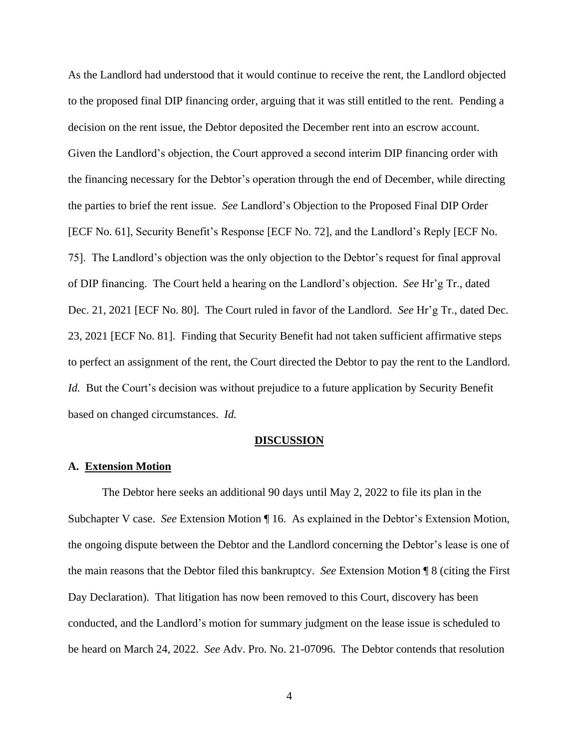As the Landlord had understood that it would continue to receive the rent, the Landlord objected to the proposed final DIP financing order, arguing that it was still entitled to the rent. Pending a decision on the rent issue, the Debtor deposited the December rent into an escrow account. Given the Landlord's objection, the Court approved a second interim DIP financing order with the financing necessary for the Debtor's operation through the end of December, while directing the parties to brief the rent issue. *See* Landlord's Objection to the Proposed Final DIP Order [ECF No. 61], Security Benefit's Response [ECF No. 72], and the Landlord's Reply [ECF No. 75]. The Landlord's objection was the only objection to the Debtor's request for final approval of DIP financing. The Court held a hearing on the Landlord's objection. *See* Hr'g Tr., dated Dec. 21, 2021 [ECF No. 80]. The Court ruled in favor of the Landlord. *See* Hr'g Tr., dated Dec. 23, 2021 [ECF No. 81]. Finding that Security Benefit had not taken sufficient affirmative steps to perfect an assignment of the rent, the Court directed the Debtor to pay the rent to the Landlord. *Id.* But the Court's decision was without prejudice to a future application by Security Benefit based on changed circumstances. *Id.* 

#### **DISCUSSION**

### **A. Extension Motion**

The Debtor here seeks an additional 90 days until May 2, 2022 to file its plan in the Subchapter V case. *See* Extension Motion ¶ 16. As explained in the Debtor's Extension Motion, the ongoing dispute between the Debtor and the Landlord concerning the Debtor's lease is one of the main reasons that the Debtor filed this bankruptcy. *See* Extension Motion ¶ 8 (citing the First Day Declaration). That litigation has now been removed to this Court, discovery has been conducted, and the Landlord's motion for summary judgment on the lease issue is scheduled to be heard on March 24, 2022. *See* Adv. Pro. No. 21-07096. The Debtor contends that resolution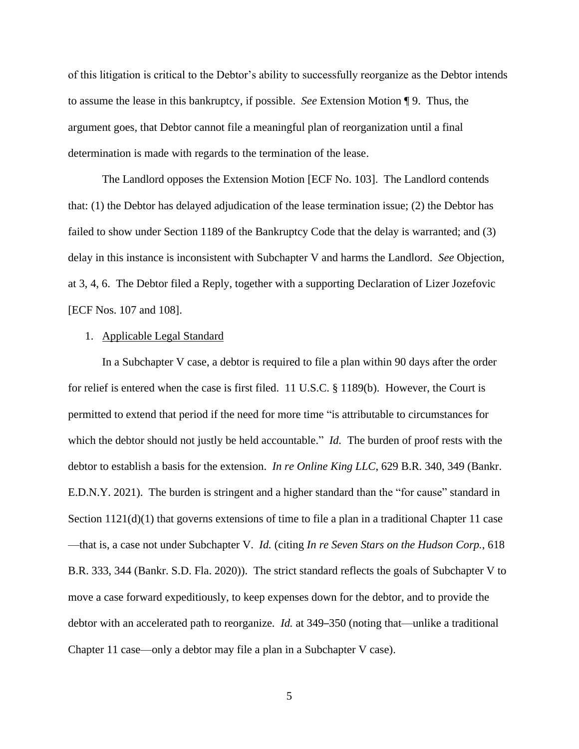of this litigation is critical to the Debtor's ability to successfully reorganize as the Debtor intends to assume the lease in this bankruptcy, if possible. *See* Extension Motion ¶ 9. Thus, the argument goes, that Debtor cannot file a meaningful plan of reorganization until a final determination is made with regards to the termination of the lease.

The Landlord opposes the Extension Motion [ECF No. 103]. The Landlord contends that: (1) the Debtor has delayed adjudication of the lease termination issue; (2) the Debtor has failed to show under Section 1189 of the Bankruptcy Code that the delay is warranted; and (3) delay in this instance is inconsistent with Subchapter V and harms the Landlord. *See* Objection, at 3, 4, 6. The Debtor filed a Reply, together with a supporting Declaration of Lizer Jozefovic [ECF Nos. 107 and 108].

### 1. Applicable Legal Standard

In a Subchapter V case, a debtor is required to file a plan within 90 days after the order for relief is entered when the case is first filed. 11 U.S.C. § 1189(b). However, the Court is permitted to extend that period if the need for more time "is attributable to circumstances for which the debtor should not justly be held accountable." *Id.* The burden of proof rests with the debtor to establish a basis for the extension. *In re Online King LLC*, 629 B.R. 340, 349 (Bankr. E.D.N.Y. 2021). The burden is stringent and a higher standard than the "for cause" standard in Section  $1121(d)(1)$  that governs extensions of time to file a plan in a traditional Chapter 11 case —that is, a case not under Subchapter V. *Id.* (citing *In re Seven Stars on the Hudson Corp.*, 618 B.R. 333, 344 (Bankr. S.D. Fla. 2020)). The strict standard reflects the goals of Subchapter V to move a case forward expeditiously, to keep expenses down for the debtor, and to provide the debtor with an accelerated path to reorganize*. Id.* at 349–350 (noting that—unlike a traditional Chapter 11 case—only a debtor may file a plan in a Subchapter V case).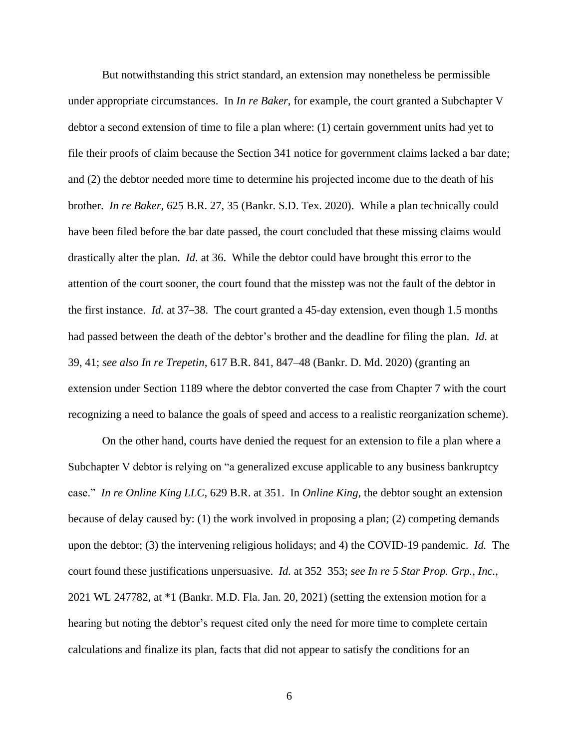But notwithstanding this strict standard, an extension may nonetheless be permissible under appropriate circumstances. In *In re Baker*, for example, the court granted a Subchapter V debtor a second extension of time to file a plan where: (1) certain government units had yet to file their proofs of claim because the Section 341 notice for government claims lacked a bar date; and (2) the debtor needed more time to determine his projected income due to the death of his brother. *In re Baker*, 625 B.R. 27, 35 (Bankr. S.D. Tex. 2020). While a plan technically could have been filed before the bar date passed, the court concluded that these missing claims would drastically alter the plan. *Id.* at 36. While the debtor could have brought this error to the attention of the court sooner, the court found that the misstep was not the fault of the debtor in the first instance. *Id.* at 37–38. The court granted a 45-day extension, even though 1.5 months had passed between the death of the debtor's brother and the deadline for filing the plan. *Id.* at 39, 41; *see also In re Trepetin*, 617 B.R. 841, 847–48 (Bankr. D. Md. 2020) (granting an extension under Section 1189 where the debtor converted the case from Chapter 7 with the court recognizing a need to balance the goals of speed and access to a realistic reorganization scheme).

On the other hand, courts have denied the request for an extension to file a plan where a Subchapter V debtor is relying on "a generalized excuse applicable to any business bankruptcy case." *In re Online King LLC*, 629 B.R. at 351. In *Online King*, the debtor sought an extension because of delay caused by: (1) the work involved in proposing a plan; (2) competing demands upon the debtor; (3) the intervening religious holidays; and 4) the COVID-19 pandemic. *Id.* The court found these justifications unpersuasive. *Id.* at 352–353; *see In re 5 Star Prop. Grp., Inc.*, 2021 WL 247782, at \*1 (Bankr. M.D. Fla. Jan. 20, 2021) (setting the extension motion for a hearing but noting the debtor's request cited only the need for more time to complete certain calculations and finalize its plan, facts that did not appear to satisfy the conditions for an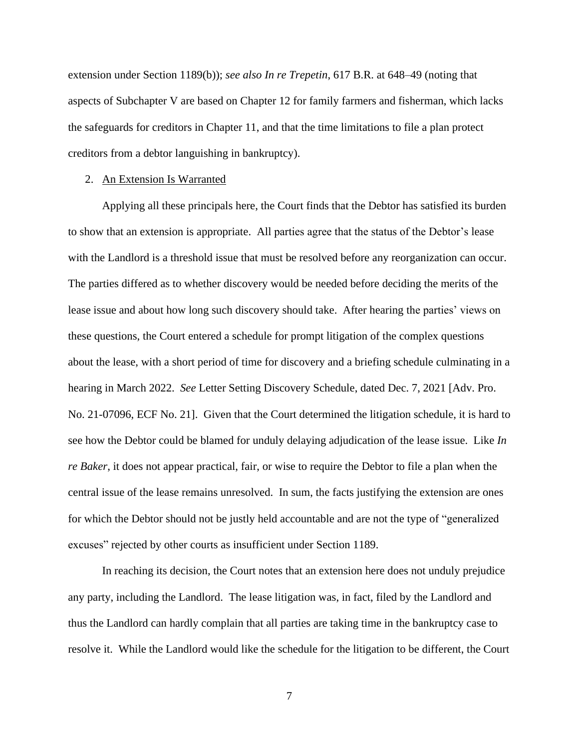extension under Section 1189(b)); *see also In re Trepetin*, 617 B.R. at 648–49 (noting that aspects of Subchapter V are based on Chapter 12 for family farmers and fisherman, which lacks the safeguards for creditors in Chapter 11, and that the time limitations to file a plan protect creditors from a debtor languishing in bankruptcy).

#### 2. An Extension Is Warranted

Applying all these principals here, the Court finds that the Debtor has satisfied its burden to show that an extension is appropriate. All parties agree that the status of the Debtor's lease with the Landlord is a threshold issue that must be resolved before any reorganization can occur. The parties differed as to whether discovery would be needed before deciding the merits of the lease issue and about how long such discovery should take. After hearing the parties' views on these questions, the Court entered a schedule for prompt litigation of the complex questions about the lease, with a short period of time for discovery and a briefing schedule culminating in a hearing in March 2022. *See* Letter Setting Discovery Schedule, dated Dec. 7, 2021 [Adv. Pro. No. 21-07096, ECF No. 21]. Given that the Court determined the litigation schedule, it is hard to see how the Debtor could be blamed for unduly delaying adjudication of the lease issue. Like *In re Baker*, it does not appear practical, fair, or wise to require the Debtor to file a plan when the central issue of the lease remains unresolved. In sum, the facts justifying the extension are ones for which the Debtor should not be justly held accountable and are not the type of "generalized excuses" rejected by other courts as insufficient under Section 1189.

In reaching its decision, the Court notes that an extension here does not unduly prejudice any party, including the Landlord. The lease litigation was, in fact, filed by the Landlord and thus the Landlord can hardly complain that all parties are taking time in the bankruptcy case to resolve it. While the Landlord would like the schedule for the litigation to be different, the Court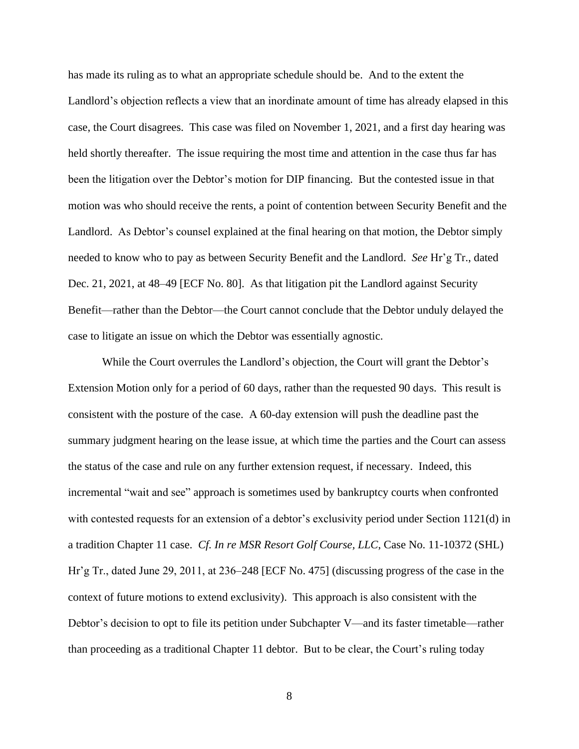has made its ruling as to what an appropriate schedule should be. And to the extent the Landlord's objection reflects a view that an inordinate amount of time has already elapsed in this case, the Court disagrees. This case was filed on November 1, 2021, and a first day hearing was held shortly thereafter. The issue requiring the most time and attention in the case thus far has been the litigation over the Debtor's motion for DIP financing. But the contested issue in that motion was who should receive the rents, a point of contention between Security Benefit and the Landlord. As Debtor's counsel explained at the final hearing on that motion, the Debtor simply needed to know who to pay as between Security Benefit and the Landlord. *See* Hr'g Tr., dated Dec. 21, 2021, at 48–49 [ECF No. 80]. As that litigation pit the Landlord against Security Benefit—rather than the Debtor—the Court cannot conclude that the Debtor unduly delayed the case to litigate an issue on which the Debtor was essentially agnostic.

While the Court overrules the Landlord's objection, the Court will grant the Debtor's Extension Motion only for a period of 60 days, rather than the requested 90 days. This result is consistent with the posture of the case. A 60-day extension will push the deadline past the summary judgment hearing on the lease issue, at which time the parties and the Court can assess the status of the case and rule on any further extension request, if necessary. Indeed, this incremental "wait and see" approach is sometimes used by bankruptcy courts when confronted with contested requests for an extension of a debtor's exclusivity period under Section 1121(d) in a tradition Chapter 11 case. *Cf. In re MSR Resort Golf Course, LLC*, Case No. 11-10372 (SHL) Hr'g Tr., dated June 29, 2011, at 236–248 [ECF No. 475] (discussing progress of the case in the context of future motions to extend exclusivity). This approach is also consistent with the Debtor's decision to opt to file its petition under Subchapter V—and its faster timetable—rather than proceeding as a traditional Chapter 11 debtor. But to be clear, the Court's ruling today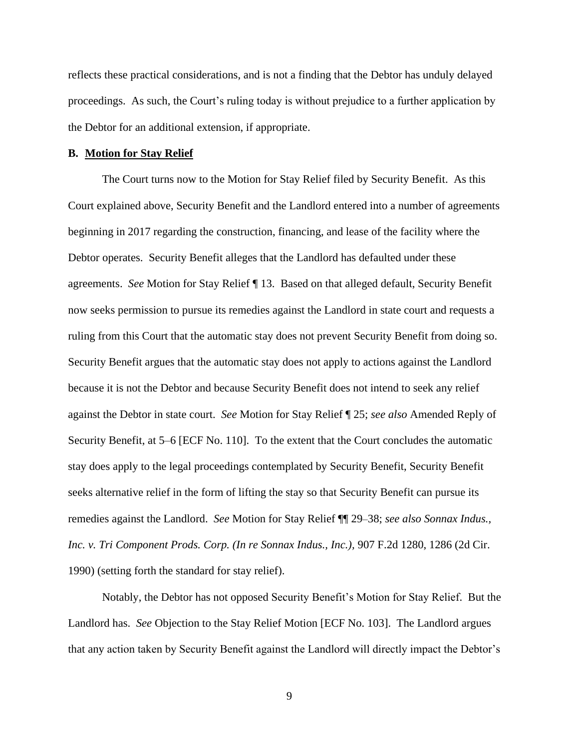reflects these practical considerations, and is not a finding that the Debtor has unduly delayed proceedings. As such, the Court's ruling today is without prejudice to a further application by the Debtor for an additional extension, if appropriate.

#### **B. Motion for Stay Relief**

The Court turns now to the Motion for Stay Relief filed by Security Benefit. As this Court explained above, Security Benefit and the Landlord entered into a number of agreements beginning in 2017 regarding the construction, financing, and lease of the facility where the Debtor operates. Security Benefit alleges that the Landlord has defaulted under these agreements. *See* Motion for Stay Relief ¶ 13. Based on that alleged default, Security Benefit now seeks permission to pursue its remedies against the Landlord in state court and requests a ruling from this Court that the automatic stay does not prevent Security Benefit from doing so. Security Benefit argues that the automatic stay does not apply to actions against the Landlord because it is not the Debtor and because Security Benefit does not intend to seek any relief against the Debtor in state court. *See* Motion for Stay Relief ¶ 25; *see also* Amended Reply of Security Benefit, at 5–6 [ECF No. 110]. To the extent that the Court concludes the automatic stay does apply to the legal proceedings contemplated by Security Benefit, Security Benefit seeks alternative relief in the form of lifting the stay so that Security Benefit can pursue its remedies against the Landlord. *See* Motion for Stay Relief ¶¶ 29–38; *see also Sonnax Indus., Inc. v. Tri Component Prods. Corp. (In re Sonnax Indus., Inc.),* 907 F.2d 1280, 1286 (2d Cir. 1990) (setting forth the standard for stay relief).

Notably, the Debtor has not opposed Security Benefit's Motion for Stay Relief. But the Landlord has. *See* Objection to the Stay Relief Motion [ECF No. 103]. The Landlord argues that any action taken by Security Benefit against the Landlord will directly impact the Debtor's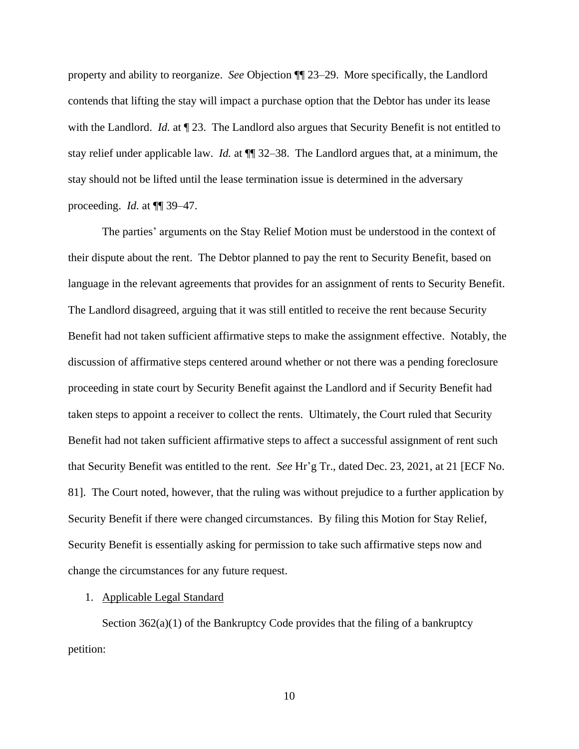property and ability to reorganize. *See* Objection ¶¶ 23–29. More specifically, the Landlord contends that lifting the stay will impact a purchase option that the Debtor has under its lease with the Landlord. *Id.* at  $\P$  23. The Landlord also argues that Security Benefit is not entitled to stay relief under applicable law. *Id.* at ¶¶ 32–38. The Landlord argues that, at a minimum, the stay should not be lifted until the lease termination issue is determined in the adversary proceeding. *Id.* at ¶¶ 39–47.

The parties' arguments on the Stay Relief Motion must be understood in the context of their dispute about the rent. The Debtor planned to pay the rent to Security Benefit, based on language in the relevant agreements that provides for an assignment of rents to Security Benefit. The Landlord disagreed, arguing that it was still entitled to receive the rent because Security Benefit had not taken sufficient affirmative steps to make the assignment effective. Notably, the discussion of affirmative steps centered around whether or not there was a pending foreclosure proceeding in state court by Security Benefit against the Landlord and if Security Benefit had taken steps to appoint a receiver to collect the rents. Ultimately, the Court ruled that Security Benefit had not taken sufficient affirmative steps to affect a successful assignment of rent such that Security Benefit was entitled to the rent. *See* Hr'g Tr., dated Dec. 23, 2021, at 21 [ECF No. 81]. The Court noted, however, that the ruling was without prejudice to a further application by Security Benefit if there were changed circumstances. By filing this Motion for Stay Relief, Security Benefit is essentially asking for permission to take such affirmative steps now and change the circumstances for any future request.

#### 1. Applicable Legal Standard

Section 362(a)(1) of the Bankruptcy Code provides that the filing of a bankruptcy petition: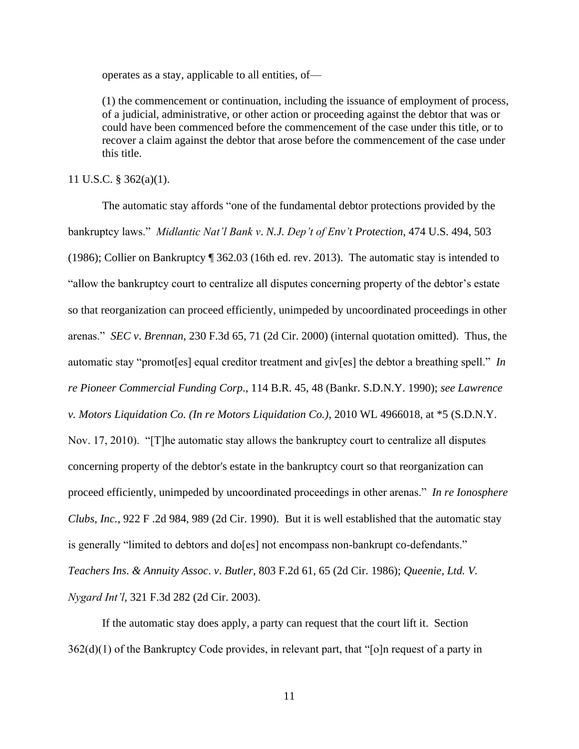operates as a stay, applicable to all entities, of—

(1) the commencement or continuation, including the issuance of employment of process, of a judicial, administrative, or other action or proceeding against the debtor that was or could have been commenced before the commencement of the case under this title, or to recover a claim against the debtor that arose before the commencement of the case under this title.

11 U.S.C. § 362(a)(1).

The automatic stay affords "one of the fundamental debtor protections provided by the bankruptcy laws." *Midlantic Nat'l Bank v*. *N.J. Dep't of Env't Protection*, 474 U.S. 494, 503 (1986); Collier on Bankruptcy ¶ 362.03 (16th ed. rev. 2013). The automatic stay is intended to "allow the bankruptcy court to centralize all disputes concerning property of the debtor's estate so that reorganization can proceed efficiently, unimpeded by uncoordinated proceedings in other arenas." *SEC v*. *Brennan*, 230 F.3d 65, 71 (2d Cir. 2000) (internal quotation omitted). Thus, the automatic stay "promot[es] equal creditor treatment and giv[es] the debtor a breathing spell." *In re Pioneer Commercial Funding Corp*., 114 B.R. 45, 48 (Bankr. S.D.N.Y. 1990); *see Lawrence v. Motors Liquidation Co. (In re Motors Liquidation Co.)*, 2010 WL 4966018, at \*5 (S.D.N.Y. Nov. 17, 2010). "[T]he automatic stay allows the bankruptcy court to centralize all disputes concerning property of the debtor's estate in the bankruptcy court so that reorganization can proceed efficiently, unimpeded by uncoordinated proceedings in other arenas." *In re Ionosphere Clubs, Inc.*, 922 F .2d 984, 989 (2d Cir. 1990). But it is well established that the automatic stay is generally "limited to debtors and do[es] not encompass non-bankrupt co-defendants." *Teachers Ins*. *& Annuity Assoc*. *v*. *Butler*, 803 F.2d 61, 65 (2d Cir. 1986); *Queenie, Ltd. V. Nygard Int'l*, 321 F.3d 282 (2d Cir. 2003).

If the automatic stay does apply, a party can request that the court lift it. Section 362(d)(1) of the Bankruptcy Code provides, in relevant part, that "[o]n request of a party in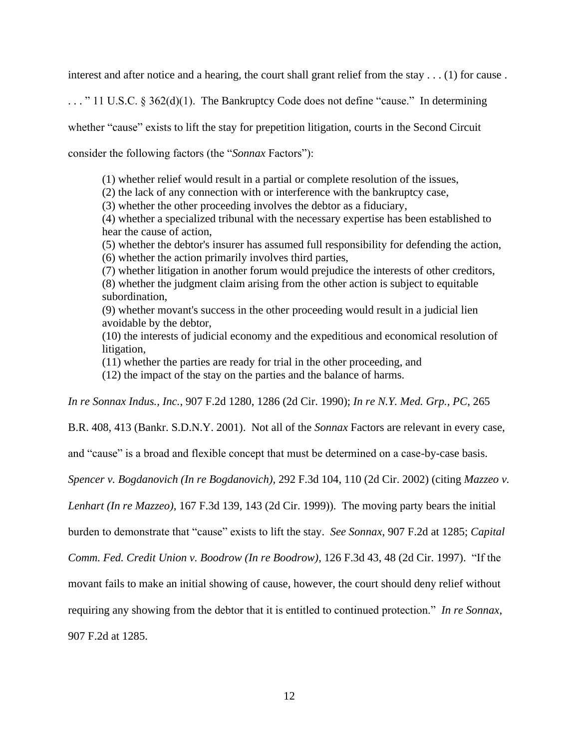interest and after notice and a hearing, the court shall grant relief from the stay . . . (1) for cause .

. . . " 11 U.S.C. § 362(d)(1). The Bankruptcy Code does not define "cause." In determining whether "cause" exists to lift the stay for prepetition litigation, courts in the Second Circuit consider the following factors (the "*Sonnax* Factors"):

(1) whether relief would result in a partial or complete resolution of the issues,

(2) the lack of any connection with or interference with the bankruptcy case,

(3) whether the other proceeding involves the debtor as a fiduciary,

(4) whether a specialized tribunal with the necessary expertise has been established to hear the cause of action,

(5) whether the debtor's insurer has assumed full responsibility for defending the action, (6) whether the action primarily involves third parties,

(7) whether litigation in another forum would prejudice the interests of other creditors, (8) whether the judgment claim arising from the other action is subject to equitable subordination,

(9) whether movant's success in the other proceeding would result in a judicial lien avoidable by the debtor,

(10) the interests of judicial economy and the expeditious and economical resolution of litigation,

(11) whether the parties are ready for trial in the other proceeding, and

(12) the impact of the stay on the parties and the balance of harms.

*In re Sonnax Indus., Inc.*, 907 F.2d 1280, 1286 (2d Cir. 1990); *In re N.Y. Med. Grp., PC*, 265

B.R. 408, 413 (Bankr. S.D.N.Y. 2001). Not all of the *Sonnax* Factors are relevant in every case,

and "cause" is a broad and flexible concept that must be determined on a case-by-case basis.

*Spencer v. Bogdanovich (In re Bogdanovich),* 292 F.3d 104, 110 (2d Cir. 2002) (citing *Mazzeo v.* 

*Lenhart (In re Mazzeo)*, 167 F.3d 139, 143 (2d Cir. 1999)). The moving party bears the initial

burden to demonstrate that "cause" exists to lift the stay. *See Sonnax*, 907 F.2d at 1285; *Capital* 

*Comm. Fed. Credit Union v. Boodrow (In re Boodrow)*, 126 F.3d 43, 48 (2d Cir. 1997). "If the

movant fails to make an initial showing of cause, however, the court should deny relief without

requiring any showing from the debtor that it is entitled to continued protection." *In re Sonnax*,

907 F.2d at 1285.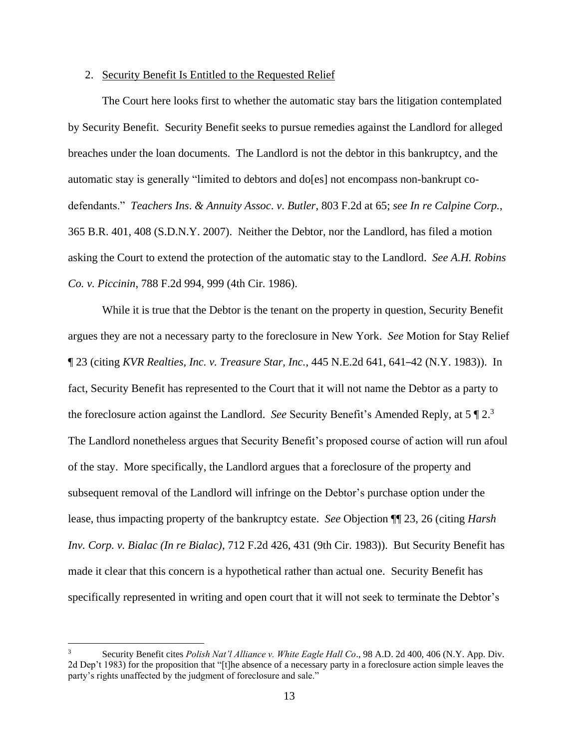### 2. Security Benefit Is Entitled to the Requested Relief

The Court here looks first to whether the automatic stay bars the litigation contemplated by Security Benefit. Security Benefit seeks to pursue remedies against the Landlord for alleged breaches under the loan documents. The Landlord is not the debtor in this bankruptcy, and the automatic stay is generally "limited to debtors and do[es] not encompass non-bankrupt codefendants." *Teachers Ins*. *& Annuity Assoc*. *v*. *Butler*, 803 F.2d at 65; *see In re Calpine Corp.*, 365 B.R. 401, 408 (S.D.N.Y. 2007). Neither the Debtor, nor the Landlord, has filed a motion asking the Court to extend the protection of the automatic stay to the Landlord. *See A.H. Robins Co. v. Piccinin*, 788 F.2d 994, 999 (4th Cir. 1986).

While it is true that the Debtor is the tenant on the property in question, Security Benefit argues they are not a necessary party to the foreclosure in New York. *See* Motion for Stay Relief ¶ 23 (citing *KVR Realties, Inc. v. Treasure Star, Inc.*, 445 N.E.2d 641, 641–42 (N.Y. 1983)). In fact, Security Benefit has represented to the Court that it will not name the Debtor as a party to the foreclosure action against the Landlord. *See* Security Benefit's Amended Reply, at 5 ¶ 2. 3 The Landlord nonetheless argues that Security Benefit's proposed course of action will run afoul of the stay. More specifically, the Landlord argues that a foreclosure of the property and subsequent removal of the Landlord will infringe on the Debtor's purchase option under the lease, thus impacting property of the bankruptcy estate. *See* Objection ¶¶ 23, 26 (citing *Harsh Inv. Corp. v. Bialac (In re Bialac)*, 712 F.2d 426, 431 (9th Cir. 1983)). But Security Benefit has made it clear that this concern is a hypothetical rather than actual one. Security Benefit has specifically represented in writing and open court that it will not seek to terminate the Debtor's

<sup>3</sup> Security Benefit cites *Polish Nat'l Alliance v. White Eagle Hall Co*., 98 A.D. 2d 400, 406 (N.Y. App. Div. 2d Dep't 1983) for the proposition that "[t]he absence of a necessary party in a foreclosure action simple leaves the party's rights unaffected by the judgment of foreclosure and sale."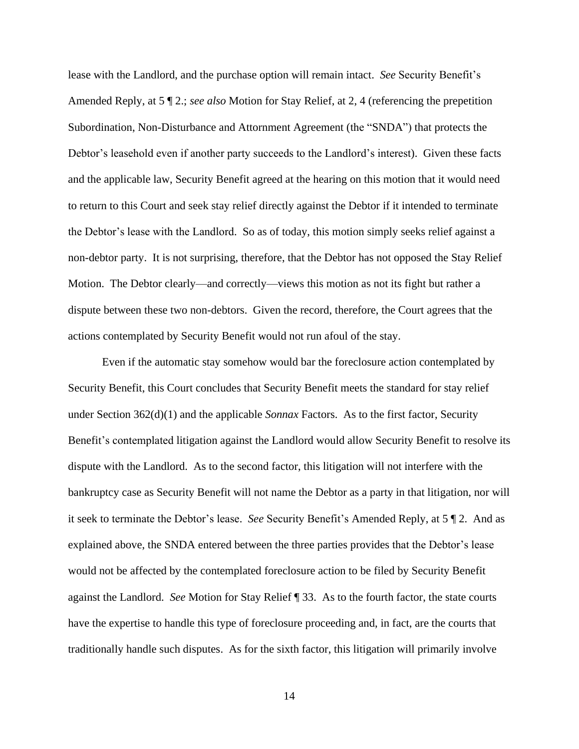lease with the Landlord, and the purchase option will remain intact. *See* Security Benefit's Amended Reply, at 5 ¶ 2.; *see also* Motion for Stay Relief, at 2, 4 (referencing the prepetition Subordination, Non-Disturbance and Attornment Agreement (the "SNDA") that protects the Debtor's leasehold even if another party succeeds to the Landlord's interest). Given these facts and the applicable law, Security Benefit agreed at the hearing on this motion that it would need to return to this Court and seek stay relief directly against the Debtor if it intended to terminate the Debtor's lease with the Landlord. So as of today, this motion simply seeks relief against a non-debtor party. It is not surprising, therefore, that the Debtor has not opposed the Stay Relief Motion. The Debtor clearly—and correctly—views this motion as not its fight but rather a dispute between these two non-debtors. Given the record, therefore, the Court agrees that the actions contemplated by Security Benefit would not run afoul of the stay.

Even if the automatic stay somehow would bar the foreclosure action contemplated by Security Benefit, this Court concludes that Security Benefit meets the standard for stay relief under Section 362(d)(1) and the applicable *Sonnax* Factors. As to the first factor, Security Benefit's contemplated litigation against the Landlord would allow Security Benefit to resolve its dispute with the Landlord. As to the second factor, this litigation will not interfere with the bankruptcy case as Security Benefit will not name the Debtor as a party in that litigation, nor will it seek to terminate the Debtor's lease. *See* Security Benefit's Amended Reply, at 5 ¶ 2. And as explained above, the SNDA entered between the three parties provides that the Debtor's lease would not be affected by the contemplated foreclosure action to be filed by Security Benefit against the Landlord. *See* Motion for Stay Relief ¶ 33. As to the fourth factor, the state courts have the expertise to handle this type of foreclosure proceeding and, in fact, are the courts that traditionally handle such disputes. As for the sixth factor, this litigation will primarily involve